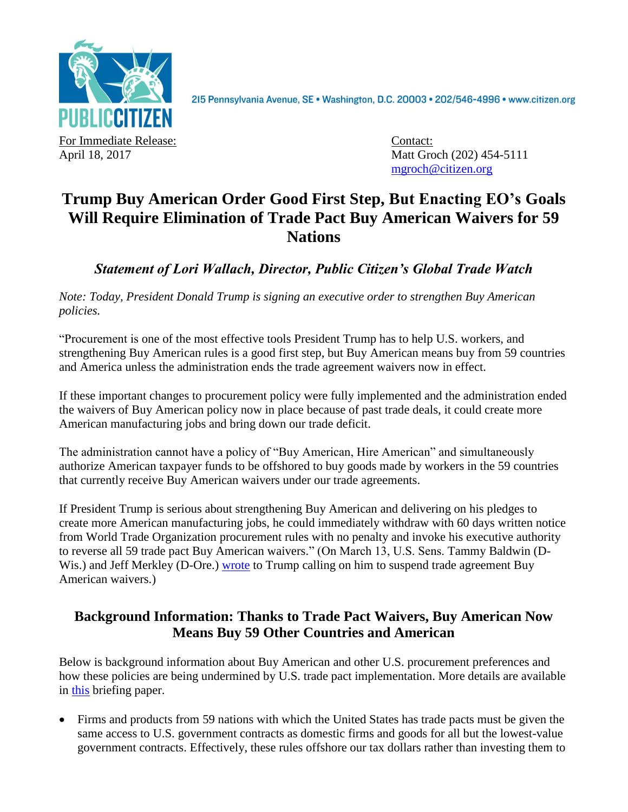

2I5 Pennsylvania Avenue, SE · Washington, D.C. 20003 · 202/546-4996 · www.citizen.org

For Immediate Release: Contact:

April 18, 2017 Matt Groch (202) 454-5111 [mgroch@citizen.org](mailto:mgroch@citizen.org)

## **Trump Buy American Order Good First Step, But Enacting EO's Goals Will Require Elimination of Trade Pact Buy American Waivers for 59 Nations**

*Statement of Lori Wallach, Director, Public Citizen's Global Trade Watch*

*Note: Today, President Donald Trump is signing an executive order to strengthen Buy American policies.*

"Procurement is one of the most effective tools President Trump has to help U.S. workers, and strengthening Buy American rules is a good first step, but Buy American means buy from 59 countries and America unless the administration ends the trade agreement waivers now in effect.

If these important changes to procurement policy were fully implemented and the administration ended the waivers of Buy American policy now in place because of past trade deals, it could create more American manufacturing jobs and bring down our trade deficit.

The administration cannot have a policy of "Buy American, Hire American" and simultaneously authorize American taxpayer funds to be offshored to buy goods made by workers in the 59 countries that currently receive Buy American waivers under our trade agreements.

If President Trump is serious about strengthening Buy American and delivering on his pledges to create more American manufacturing jobs, he could immediately withdraw with 60 days written notice from World Trade Organization procurement rules with no penalty and invoke his executive authority to reverse all 59 trade pact Buy American waivers." (On March 13, U.S. Sens. Tammy Baldwin (DWis.) and Jeff Merkley (D-Ore.) [wrote](https://www.baldwin.senate.gov/press-releases/presses-president-trump-on-buy-america) to Trump calling on him to suspend trade agreement Buy American waivers.)

## **Background Information: Thanks to Trade Pact Waivers, Buy American Now Means Buy 59 Other Countries and American**

Below is background information about Buy American and other U.S. procurement preferences and how these policies are being undermined by U.S. trade pact implementation. More details are available in [this](http://www.citizen.org/documents/Procurement-from-FTAs.pdf) briefing paper.

 Firms and products from 59 nations with which the United States has trade pacts must be given the same access to U.S. government contracts as domestic firms and goods for all but the lowest-value government contracts. Effectively, these rules offshore our tax dollars rather than investing them to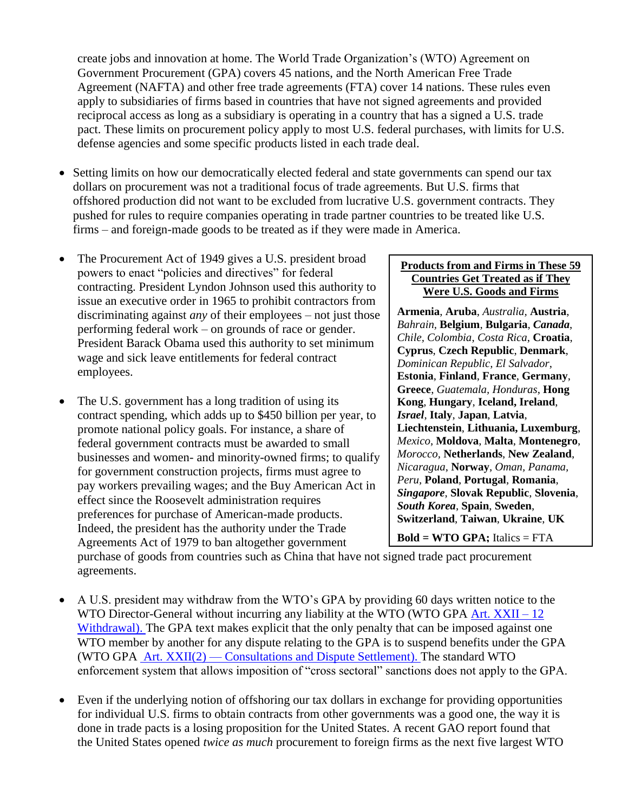create jobs and innovation at home. The World Trade Organization's (WTO) Agreement on Government Procurement (GPA) covers 45 nations, and the North American Free Trade Agreement (NAFTA) and other free trade agreements (FTA) cover 14 nations. These rules even apply to subsidiaries of firms based in countries that have not signed agreements and provided reciprocal access as long as a subsidiary is operating in a country that has a signed a U.S. trade pact. These limits on procurement policy apply to most U.S. federal purchases, with limits for U.S. defense agencies and some specific products listed in each trade deal.

- Setting limits on how our democratically elected federal and state governments can spend our tax dollars on procurement was not a traditional focus of trade agreements. But U.S. firms that offshored production did not want to be excluded from lucrative U.S. government contracts. They pushed for rules to require companies operating in trade partner countries to be treated like U.S. firms – and foreign-made goods to be treated as if they were made in America.
- The Procurement Act of 1949 gives a U.S. president broad powers to enact "policies and directives" for federal contracting. President Lyndon Johnson used this authority to issue an executive order in 1965 to prohibit contractors from discriminating against *any* of their employees – not just those performing federal work – on grounds of race or gender. President Barack Obama used this authority to set minimum wage and sick leave entitlements for federal contract employees.
- The U.S. government has a long tradition of using its contract spending, which adds up to \$450 billion per year, to promote national policy goals. For instance, a share of federal government contracts must be awarded to small businesses and women- and minority-owned firms; to qualify for government construction projects, firms must agree to pay workers prevailing wages; and the Buy American Act in effect since the Roosevelt administration requires preferences for purchase of American-made products. Indeed, the president has the authority under the Trade Agreements Act of 1979 to ban altogether government

## **Products from and Firms in These 59 Countries Get Treated as if They Were U.S. Goods and Firms**

**Armenia**, **Aruba**, *Australia,* **Austria**, *Bahrain,* **Belgium**, **Bulgaria**, *Canada*, *Chile, Colombia*, *Costa Rica*, **Croatia**, **Cyprus**, **Czech Republic**, **Denmark**, *Dominican Republic, El Salvador*, **Estonia**, **Finland**, **France**, **Germany**, **Greece**, *Guatemala, Honduras*, **Hong Kong**, **Hungary**, **Iceland, Ireland**, *Israel*, **Italy**, **Japan**, **Latvia**, **Liechtenstein**, **Lithuania, Luxemburg**, *Mexico*, **Moldova**, **Malta**, **Montenegro**, *Morocco,* **Netherlands**, **New Zealand**, *Nicaragua*, **Norway**, *Oman, Panama, Peru,* **Poland**, **Portugal**, **Romania**, *Singapore*, **Slovak Republic**, **Slovenia**, *South Korea*, **Spain**, **Sweden**, **Switzerland**, **Taiwan**, **Ukraine**, **UK**

**Bold = WTO GPA;** Italics = FTA

purchase of goods from countries such as China that have not signed trade pact procurement agreements.

- A U.S. president may withdraw from the WTO's GPA by providing 60 days written notice to the WTO Director-General without incurring any liability at the WTO (WTO GPA [Art. XXII –](https://www.wto.org/english/docs_e/legal_e/rev-gpr-94_01_e.htm) 12) [Withdrawal\)](https://www.wto.org/english/docs_e/legal_e/rev-gpr-94_01_e.htm). The GPA text makes explicit that the only penalty that can be imposed against one WTO member by another for any dispute relating to the GPA is to suspend benefits under the GPA (WTO GPA Art. XXII(2) — [Consultations and Dispute Settlement\)](https://www.wto.org/english/docs_e/legal_e/rev-gpr-94_01_e.htm). The standard WTO enforcement system that allows imposition of "cross sectoral" sanctions does not apply to the GPA.
- Even if the underlying notion of offshoring our tax dollars in exchange for providing opportunities for individual U.S. firms to obtain contracts from other governments was a good one, the way it is done in trade pacts is a losing proposition for the United States. A recent GAO report found that the United States opened *twice as much* procurement to foreign firms as the next five largest WTO